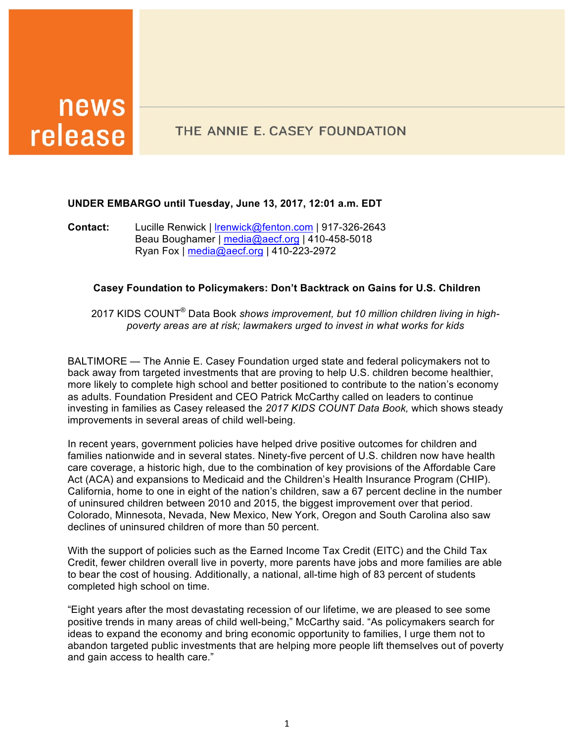# news release

# THE ANNIE E. CASEY FOUNDATION

# **UNDER EMBARGO until Tuesday, June 13, 2017, 12:01 a.m. EDT**

**Contact:** Lucille Renwick | lrenwick@fenton.com | 917-326-2643 Beau Boughamer | media@aecf.org | 410-458-5018 Ryan Fox | media@aecf.org | 410-223-2972

## **Casey Foundation to Policymakers: Don't Backtrack on Gains for U.S. Children**

2017 KIDS COUNT® Data Book *shows improvement, but 10 million children living in highpoverty areas are at risk; lawmakers urged to invest in what works for kids*

BALTIMORE — The Annie E. Casey Foundation urged state and federal policymakers not to back away from targeted investments that are proving to help U.S. children become healthier, more likely to complete high school and better positioned to contribute to the nation's economy as adults. Foundation President and CEO Patrick McCarthy called on leaders to continue investing in families as Casey released the *2017 KIDS COUNT Data Book,* which shows steady improvements in several areas of child well-being.

In recent years, government policies have helped drive positive outcomes for children and families nationwide and in several states. Ninety-five percent of U.S. children now have health care coverage, a historic high, due to the combination of key provisions of the Affordable Care Act (ACA) and expansions to Medicaid and the Children's Health Insurance Program (CHIP). California, home to one in eight of the nation's children, saw a 67 percent decline in the number of uninsured children between 2010 and 2015, the biggest improvement over that period. Colorado, Minnesota, Nevada, New Mexico, New York, Oregon and South Carolina also saw declines of uninsured children of more than 50 percent.

With the support of policies such as the Earned Income Tax Credit (EITC) and the Child Tax Credit, fewer children overall live in poverty, more parents have jobs and more families are able to bear the cost of housing. Additionally, a national, all-time high of 83 percent of students completed high school on time.

"Eight years after the most devastating recession of our lifetime, we are pleased to see some positive trends in many areas of child well-being," McCarthy said. "As policymakers search for ideas to expand the economy and bring economic opportunity to families, I urge them not to abandon targeted public investments that are helping more people lift themselves out of poverty and gain access to health care."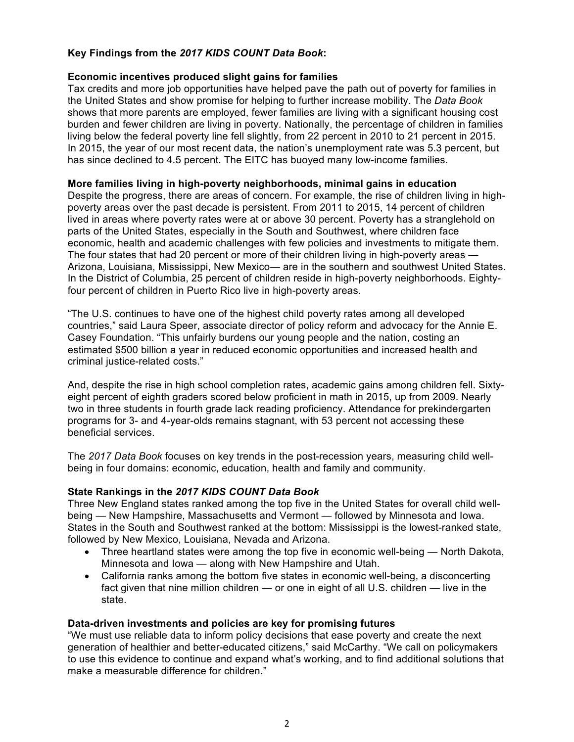# **Key Findings from the** *2017 KIDS COUNT Data Book***:**

## **Economic incentives produced slight gains for families**

Tax credits and more job opportunities have helped pave the path out of poverty for families in the United States and show promise for helping to further increase mobility. The *Data Book*  shows that more parents are employed, fewer families are living with a significant housing cost burden and fewer children are living in poverty. Nationally, the percentage of children in families living below the federal poverty line fell slightly, from 22 percent in 2010 to 21 percent in 2015. In 2015, the year of our most recent data, the nation's unemployment rate was 5.3 percent, but has since declined to 4.5 percent. The EITC has buoyed many low-income families.

#### **More families living in high-poverty neighborhoods, minimal gains in education**

Despite the progress, there are areas of concern. For example, the rise of children living in highpoverty areas over the past decade is persistent. From 2011 to 2015, 14 percent of children lived in areas where poverty rates were at or above 30 percent. Poverty has a stranglehold on parts of the United States, especially in the South and Southwest, where children face economic, health and academic challenges with few policies and investments to mitigate them. The four states that had 20 percent or more of their children living in high-poverty areas — Arizona, Louisiana, Mississippi, New Mexico— are in the southern and southwest United States. In the District of Columbia, 25 percent of children reside in high-poverty neighborhoods. Eightyfour percent of children in Puerto Rico live in high-poverty areas.

"The U.S. continues to have one of the highest child poverty rates among all developed countries," said Laura Speer, associate director of policy reform and advocacy for the Annie E. Casey Foundation. "This unfairly burdens our young people and the nation, costing an estimated \$500 billion a year in reduced economic opportunities and increased health and criminal justice-related costs."

And, despite the rise in high school completion rates, academic gains among children fell. Sixtyeight percent of eighth graders scored below proficient in math in 2015, up from 2009. Nearly two in three students in fourth grade lack reading proficiency. Attendance for prekindergarten programs for 3- and 4-year-olds remains stagnant, with 53 percent not accessing these beneficial services.

The *2017 Data Book* focuses on key trends in the post-recession years, measuring child wellbeing in four domains: economic, education, health and family and community.

# **State Rankings in the** *2017 KIDS COUNT Data Book*

Three New England states ranked among the top five in the United States for overall child wellbeing — New Hampshire, Massachusetts and Vermont — followed by Minnesota and Iowa. States in the South and Southwest ranked at the bottom: Mississippi is the lowest-ranked state, followed by New Mexico, Louisiana, Nevada and Arizona.

- Three heartland states were among the top five in economic well-being North Dakota, Minnesota and Iowa — along with New Hampshire and Utah.
- California ranks among the bottom five states in economic well-being, a disconcerting fact given that nine million children — or one in eight of all U.S. children — live in the state.

#### **Data-driven investments and policies are key for promising futures**

"We must use reliable data to inform policy decisions that ease poverty and create the next generation of healthier and better-educated citizens," said McCarthy. "We call on policymakers to use this evidence to continue and expand what's working, and to find additional solutions that make a measurable difference for children."